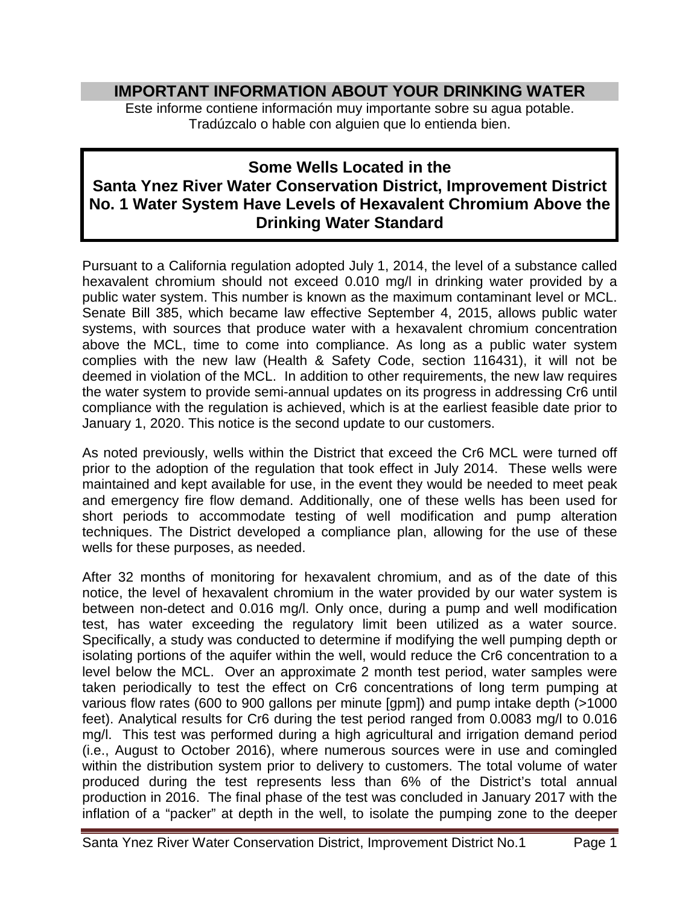## **IMPORTANT INFORMATION ABOUT YOUR DRINKING WATER**

Este informe contiene información muy importante sobre su agua potable. Tradúzcalo o hable con alguien que lo entienda bien.

## **Some Wells Located in the Santa Ynez River Water Conservation District, Improvement District No. 1 Water System Have Levels of Hexavalent Chromium Above the Drinking Water Standard**

Pursuant to a California regulation adopted July 1, 2014, the level of a substance called hexavalent chromium should not exceed 0.010 mg/l in drinking water provided by a public water system. This number is known as the maximum contaminant level or MCL. Senate Bill 385, which became law effective September 4, 2015, allows public water systems, with sources that produce water with a hexavalent chromium concentration above the MCL, time to come into compliance. As long as a public water system complies with the new law (Health & Safety Code, section 116431), it will not be deemed in violation of the MCL. In addition to other requirements, the new law requires the water system to provide semi-annual updates on its progress in addressing Cr6 until compliance with the regulation is achieved, which is at the earliest feasible date prior to January 1, 2020. This notice is the second update to our customers.

As noted previously, wells within the District that exceed the Cr6 MCL were turned off prior to the adoption of the regulation that took effect in July 2014. These wells were maintained and kept available for use, in the event they would be needed to meet peak and emergency fire flow demand. Additionally, one of these wells has been used for short periods to accommodate testing of well modification and pump alteration techniques. The District developed a compliance plan, allowing for the use of these wells for these purposes, as needed.

After 32 months of monitoring for hexavalent chromium, and as of the date of this notice, the level of hexavalent chromium in the water provided by our water system is between non-detect and 0.016 mg/l. Only once, during a pump and well modification test, has water exceeding the regulatory limit been utilized as a water source. Specifically, a study was conducted to determine if modifying the well pumping depth or isolating portions of the aquifer within the well, would reduce the Cr6 concentration to a level below the MCL. Over an approximate 2 month test period, water samples were taken periodically to test the effect on Cr6 concentrations of long term pumping at various flow rates (600 to 900 gallons per minute [gpm]) and pump intake depth (>1000 feet). Analytical results for Cr6 during the test period ranged from 0.0083 mg/l to 0.016 mg/l. This test was performed during a high agricultural and irrigation demand period (i.e., August to October 2016), where numerous sources were in use and comingled within the distribution system prior to delivery to customers. The total volume of water produced during the test represents less than 6% of the District's total annual production in 2016. The final phase of the test was concluded in January 2017 with the inflation of a "packer" at depth in the well, to isolate the pumping zone to the deeper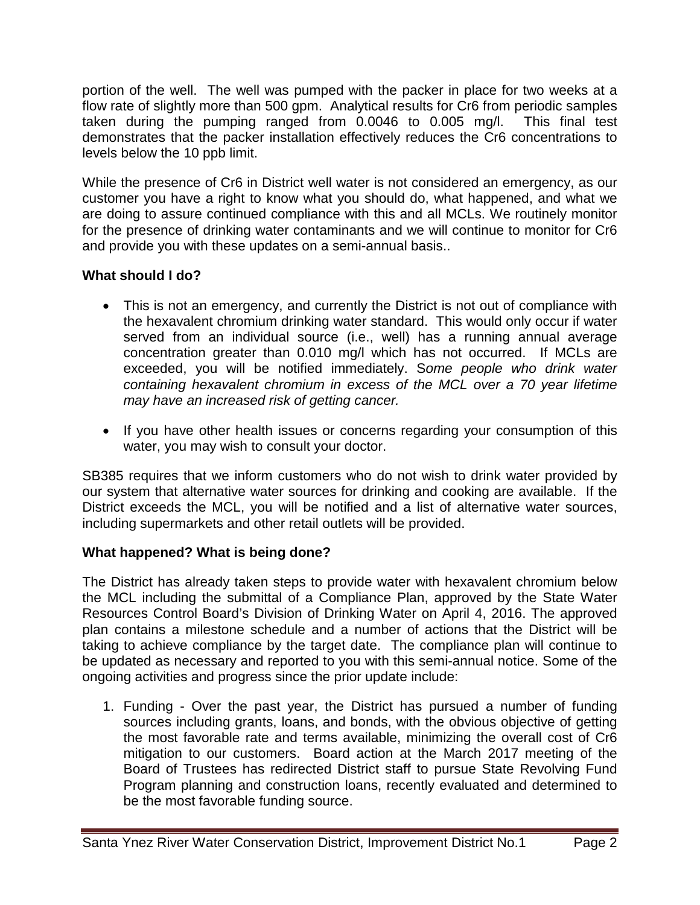portion of the well. The well was pumped with the packer in place for two weeks at a flow rate of slightly more than 500 gpm. Analytical results for Cr6 from periodic samples taken during the pumping ranged from 0.0046 to 0.005 mg/l. This final test demonstrates that the packer installation effectively reduces the Cr6 concentrations to levels below the 10 ppb limit.

While the presence of Cr6 in District well water is not considered an emergency, as our customer you have a right to know what you should do, what happened, and what we are doing to assure continued compliance with this and all MCLs. We routinely monitor for the presence of drinking water contaminants and we will continue to monitor for Cr6 and provide you with these updates on a semi-annual basis..

## **What should I do?**

- This is not an emergency, and currently the District is not out of compliance with the hexavalent chromium drinking water standard. This would only occur if water served from an individual source (i.e., well) has a running annual average concentration greater than 0.010 mg/l which has not occurred. If MCLs are exceeded, you will be notified immediately. S*ome people who drink water containing hexavalent chromium in excess of the MCL over a 70 year lifetime may have an increased risk of getting cancer.*
- If you have other health issues or concerns regarding your consumption of this water, you may wish to consult your doctor.

SB385 requires that we inform customers who do not wish to drink water provided by our system that alternative water sources for drinking and cooking are available. If the District exceeds the MCL, you will be notified and a list of alternative water sources, including supermarkets and other retail outlets will be provided.

## **What happened? What is being done?**

The District has already taken steps to provide water with hexavalent chromium below the MCL including the submittal of a Compliance Plan, approved by the State Water Resources Control Board's Division of Drinking Water on April 4, 2016. The approved plan contains a milestone schedule and a number of actions that the District will be taking to achieve compliance by the target date. The compliance plan will continue to be updated as necessary and reported to you with this semi-annual notice. Some of the ongoing activities and progress since the prior update include:

1. Funding - Over the past year, the District has pursued a number of funding sources including grants, loans, and bonds, with the obvious objective of getting the most favorable rate and terms available, minimizing the overall cost of Cr6 mitigation to our customers. Board action at the March 2017 meeting of the Board of Trustees has redirected District staff to pursue State Revolving Fund Program planning and construction loans, recently evaluated and determined to be the most favorable funding source.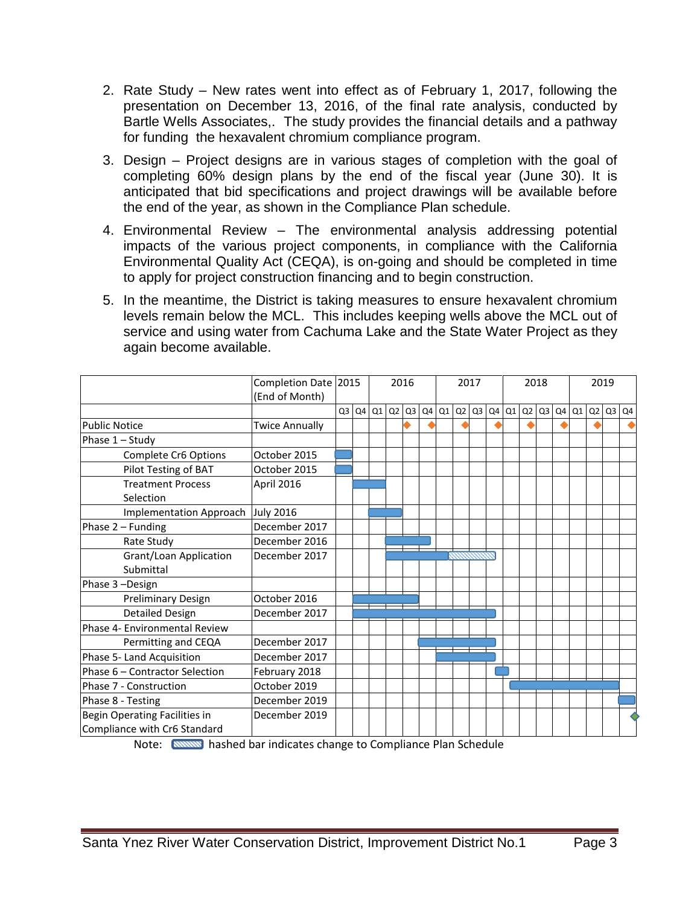- 2. Rate Study New rates went into effect as of February 1, 2017, following the presentation on December 13, 2016, of the final rate analysis, conducted by Bartle Wells Associates,. The study provides the financial details and a pathway for funding the hexavalent chromium compliance program.
- 3. Design Project designs are in various stages of completion with the goal of completing 60% design plans by the end of the fiscal year (June 30). It is anticipated that bid specifications and project drawings will be available before the end of the year, as shown in the Compliance Plan schedule.
- 4. Environmental Review The environmental analysis addressing potential impacts of the various project components, in compliance with the California Environmental Quality Act (CEQA), is on-going and should be completed in time to apply for project construction financing and to begin construction.
- 5. In the meantime, the District is taking measures to ensure hexavalent chromium levels remain below the MCL. This includes keeping wells above the MCL out of service and using water from Cachuma Lake and the State Water Project as they again become available.

|                                     | Completion Date 2015<br>(End of Month) |                |  |       | 2016 |    |  | 2017  |    |                |  | 2018      |  |           |  | 2019      |    |                |    |
|-------------------------------------|----------------------------------------|----------------|--|-------|------|----|--|-------|----|----------------|--|-----------|--|-----------|--|-----------|----|----------------|----|
|                                     |                                        | Q <sub>3</sub> |  | Q4 Q1 | Q2   | Q3 |  | Q4 Q1 | Q2 | Q <sub>3</sub> |  | $Q4$ $Q1$ |  | $Q2$ $Q3$ |  | $Q4$ $Q1$ | Q2 | Q <sub>3</sub> | Q4 |
| <b>Public Notice</b>                | <b>Twice Annually</b>                  |                |  |       |      |    |  |       |    |                |  |           |  |           |  |           |    |                |    |
| Phase 1 - Study                     |                                        |                |  |       |      |    |  |       |    |                |  |           |  |           |  |           |    |                |    |
| Complete Cr6 Options                | October 2015                           |                |  |       |      |    |  |       |    |                |  |           |  |           |  |           |    |                |    |
| Pilot Testing of BAT                | October 2015                           |                |  |       |      |    |  |       |    |                |  |           |  |           |  |           |    |                |    |
| <b>Treatment Process</b>            | April 2016                             |                |  |       |      |    |  |       |    |                |  |           |  |           |  |           |    |                |    |
| Selection                           |                                        |                |  |       |      |    |  |       |    |                |  |           |  |           |  |           |    |                |    |
| Implementation Approach             | <b>July 2016</b>                       |                |  |       |      |    |  |       |    |                |  |           |  |           |  |           |    |                |    |
| Phase $2$ – Funding                 | December 2017                          |                |  |       |      |    |  |       |    |                |  |           |  |           |  |           |    |                |    |
| Rate Study                          | December 2016                          |                |  |       |      |    |  |       |    |                |  |           |  |           |  |           |    |                |    |
| Grant/Loan Application<br>Submittal | December 2017                          |                |  |       |      |    |  |       |    |                |  |           |  |           |  |           |    |                |    |
| Phase 3-Design                      |                                        |                |  |       |      |    |  |       |    |                |  |           |  |           |  |           |    |                |    |
| Preliminary Design                  | October 2016                           |                |  |       |      |    |  |       |    |                |  |           |  |           |  |           |    |                |    |
| <b>Detailed Design</b>              | December 2017                          |                |  |       |      |    |  |       |    |                |  |           |  |           |  |           |    |                |    |
| Phase 4- Environmental Review       |                                        |                |  |       |      |    |  |       |    |                |  |           |  |           |  |           |    |                |    |
| Permitting and CEQA                 | December 2017                          |                |  |       |      |    |  |       |    |                |  |           |  |           |  |           |    |                |    |
| Phase 5- Land Acquisition           | December 2017                          |                |  |       |      |    |  |       |    |                |  |           |  |           |  |           |    |                |    |
| Phase 6 - Contractor Selection      | February 2018                          |                |  |       |      |    |  |       |    |                |  |           |  |           |  |           |    |                |    |
| Phase 7 - Construction              | October 2019                           |                |  |       |      |    |  |       |    |                |  |           |  |           |  |           |    |                |    |
| Phase 8 - Testing                   | December 2019                          |                |  |       |      |    |  |       |    |                |  |           |  |           |  |           |    |                |    |
| Begin Operating Facilities in       | December 2019                          |                |  |       |      |    |  |       |    |                |  |           |  |           |  |           |    |                |    |
| Compliance with Cr6 Standard        |                                        |                |  |       |      |    |  |       |    |                |  |           |  |           |  |           |    |                |    |

Note: hashed bar indicates change to Compliance Plan Schedule